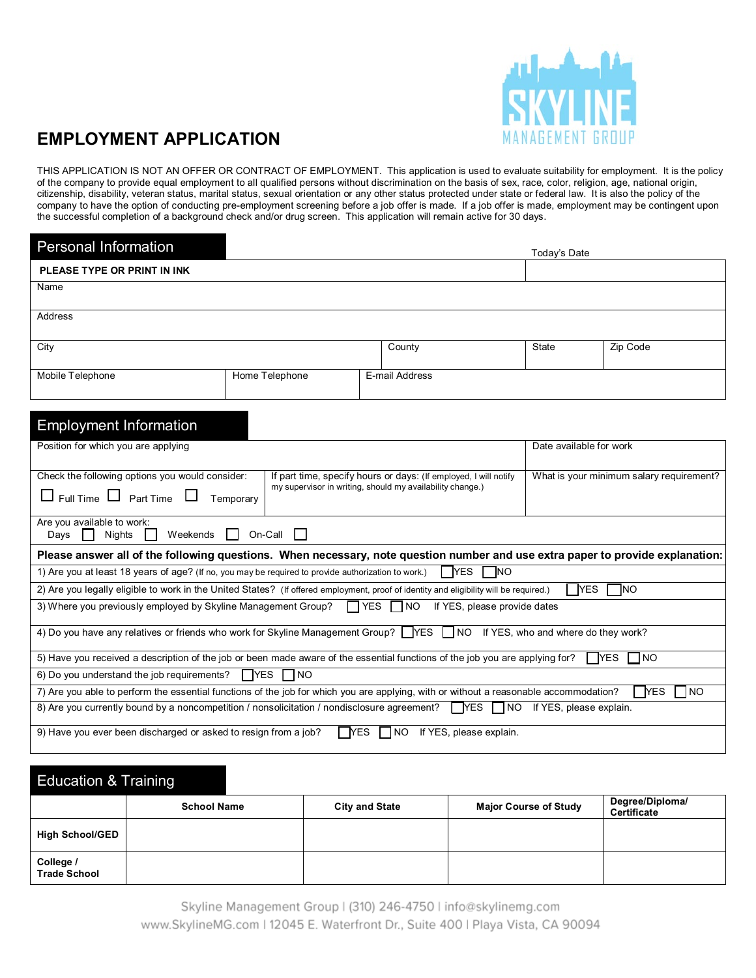

# **EMPLOYMENT APPLICATION**

THIS APPLICATION IS NOT AN OFFER OR CONTRACT OF EMPLOYMENT. This application is used to evaluate suitability for employment. It is the policy of the company to provide equal employment to all qualified persons without discrimination on the basis of sex, race, color, religion, age, national origin, citizenship, disability, veteran status, marital status, sexual orientation or any other status protected under state or federal law. It is also the policy of the company to have the option of conducting pre-employment screening before a job offer is made. If a job offer is made, employment may be contingent upon the successful completion of a background check and/or drug screen. This application will remain active for 30 days.

| <b>Personal Information</b>                                                                                                                                 |                    |                                                                                                                               | Today's Date                             |          |
|-------------------------------------------------------------------------------------------------------------------------------------------------------------|--------------------|-------------------------------------------------------------------------------------------------------------------------------|------------------------------------------|----------|
| PLEASE TYPE OR PRINT IN INK                                                                                                                                 |                    |                                                                                                                               |                                          |          |
| Name                                                                                                                                                        |                    |                                                                                                                               |                                          |          |
| <b>Address</b>                                                                                                                                              |                    |                                                                                                                               |                                          |          |
|                                                                                                                                                             |                    |                                                                                                                               |                                          |          |
| City                                                                                                                                                        |                    | County                                                                                                                        | <b>State</b>                             | Zip Code |
|                                                                                                                                                             |                    |                                                                                                                               |                                          |          |
| Mobile Telephone                                                                                                                                            | Home Telephone     | E-mail Address                                                                                                                |                                          |          |
|                                                                                                                                                             |                    |                                                                                                                               |                                          |          |
| <b>Employment Information</b>                                                                                                                               |                    |                                                                                                                               |                                          |          |
| Position for which you are applying                                                                                                                         |                    |                                                                                                                               | Date available for work                  |          |
|                                                                                                                                                             |                    |                                                                                                                               |                                          |          |
| Check the following options you would consider:                                                                                                             |                    | If part time, specify hours or days: (If employed, I will notify<br>my supervisor in writing, should my availability change.) | What is your minimum salary requirement? |          |
| $\Box$ Full Time $\Box$ Part Time $\Box$                                                                                                                    | Temporary          |                                                                                                                               |                                          |          |
| Are you available to work:                                                                                                                                  |                    |                                                                                                                               |                                          |          |
| ĒΤ<br><b>Nights</b><br>Weekends<br>Days                                                                                                                     | On-Call<br>$\perp$ |                                                                                                                               |                                          |          |
| Please answer all of the following questions. When necessary, note question number and use extra paper to provide explanation:                              |                    |                                                                                                                               |                                          |          |
| <b>T</b> ES<br>1) Are you at least 18 years of age? (If no, you may be required to provide authorization to work.)<br><b>NO</b>                             |                    |                                                                                                                               |                                          |          |
| 2) Are you legally eligible to work in the United States? (If offered employment, proof of identity and eligibility will be required.)                      |                    |                                                                                                                               | TYES                                     | INO      |
| 3) Where you previously employed by Skyline Management Group?                                                                                               |                    | $\Box$ YES $\Box$ NO<br>If YES, please provide dates                                                                          |                                          |          |
| 4) Do you have any relatives or friends who work for Skyline Management Group? TYES NO If YES, who and where do they work?                                  |                    |                                                                                                                               |                                          |          |
|                                                                                                                                                             |                    |                                                                                                                               |                                          |          |
| 5) Have you received a description of the job or been made aware of the essential functions of the job you are applying for?<br><b>TYES</b><br>1no          |                    |                                                                                                                               |                                          |          |
| $\Box$ YES<br>6) Do you understand the job requirements?<br><b>INO</b>                                                                                      |                    |                                                                                                                               |                                          |          |
| 7) Are you able to perform the essential functions of the job for which you are applying, with or without a reasonable accommodation?<br><b>TYES</b><br>1no |                    |                                                                                                                               |                                          |          |
| 8) Are you currently bound by a noncompetition / nonsolicitation / nondisclosure agreement? NES NO If YES, please explain.                                  |                    |                                                                                                                               |                                          |          |
| <b>TYES</b><br>9) Have you ever been discharged or asked to resign from a job?<br>$\blacksquare$ NO<br>If YES, please explain.                              |                    |                                                                                                                               |                                          |          |

| <b>Education &amp; Training</b>  |                    |                       |                              |                                |
|----------------------------------|--------------------|-----------------------|------------------------------|--------------------------------|
|                                  | <b>School Name</b> | <b>City and State</b> | <b>Major Course of Study</b> | Degree/Diploma/<br>Certificate |
| <b>High School/GED</b>           |                    |                       |                              |                                |
| College /<br><b>Trade School</b> |                    |                       |                              |                                |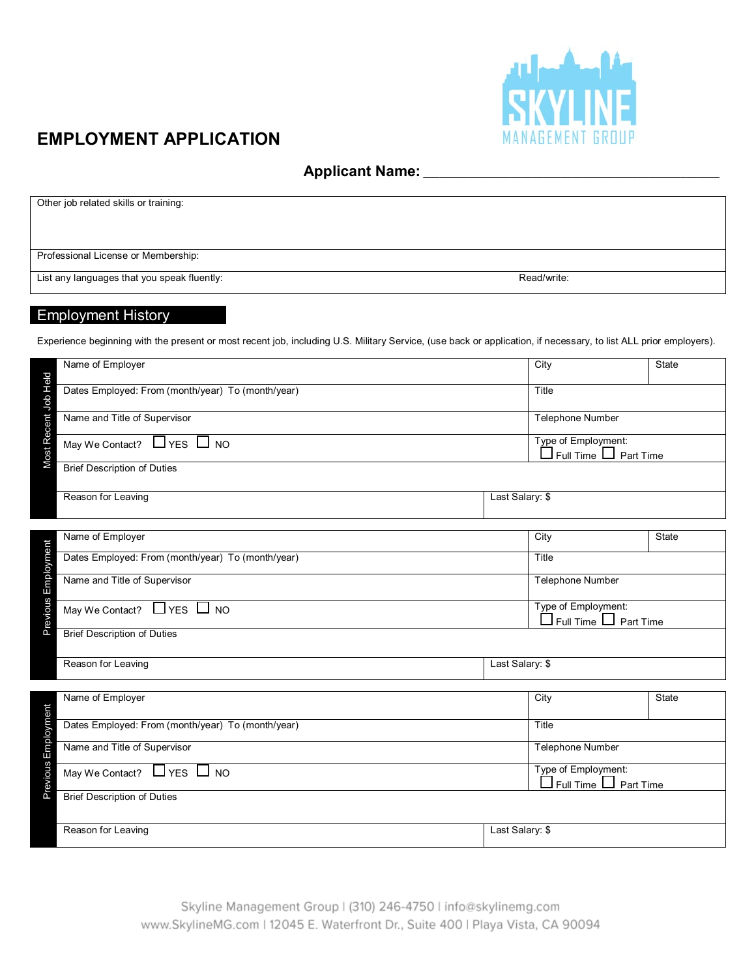

### **EMPLOYMENT APPLICATION**

**Applicant Name:** \_\_\_\_\_\_\_\_\_\_\_\_\_\_\_\_\_\_\_\_\_\_\_\_\_\_\_\_\_\_\_\_\_\_\_\_\_\_\_\_\_\_\_\_\_\_\_\_\_\_\_\_\_\_

| Other job related skills or training:       |             |
|---------------------------------------------|-------------|
|                                             |             |
|                                             |             |
|                                             |             |
|                                             |             |
|                                             |             |
| Professional License or Membership:         |             |
|                                             |             |
|                                             |             |
| List any languages that you speak fluently: | Read/write: |
|                                             |             |

#### Employment History

Experience beginning with the present or most recent job, including U.S. Military Service, (use back or application, if necessary, to list ALL prior employers).

| Name of Employer                                                                                           | City            | State                                                          |  |  |
|------------------------------------------------------------------------------------------------------------|-----------------|----------------------------------------------------------------|--|--|
|                                                                                                            |                 |                                                                |  |  |
| Most Recent Job Held<br>Dates Employed: From (month/year) To (month/year)                                  | Title           |                                                                |  |  |
| Name and Title of Supervisor                                                                               |                 |                                                                |  |  |
|                                                                                                            |                 | <b>Telephone Number</b>                                        |  |  |
| May We Contact? LVES NO                                                                                    |                 | Type of Employment:                                            |  |  |
|                                                                                                            |                 | $\square$ Full Time $\square$ Part Time                        |  |  |
| <b>Brief Description of Duties</b>                                                                         |                 |                                                                |  |  |
|                                                                                                            |                 |                                                                |  |  |
| Reason for Leaving                                                                                         | Last Salary: \$ |                                                                |  |  |
|                                                                                                            |                 |                                                                |  |  |
|                                                                                                            |                 |                                                                |  |  |
| Name of Employer                                                                                           | City            | State                                                          |  |  |
| Dates Employed: From (month/year) To (month/year)                                                          | Title           |                                                                |  |  |
|                                                                                                            |                 |                                                                |  |  |
| Previous Employment<br>Name and Title of Supervisor                                                        |                 | Telephone Number                                               |  |  |
|                                                                                                            |                 |                                                                |  |  |
| $L$ <sub>YES</sub> $L$ <sub>NO</sub><br>May We Contact?                                                    |                 | Type of Employment:<br>$\square$ Full Time $\square$ Part Time |  |  |
| <b>Brief Description of Duties</b>                                                                         |                 |                                                                |  |  |
|                                                                                                            |                 |                                                                |  |  |
| Reason for Leaving                                                                                         | Last Salary: \$ |                                                                |  |  |
|                                                                                                            |                 |                                                                |  |  |
|                                                                                                            |                 |                                                                |  |  |
| Name of Employer                                                                                           | City            | State                                                          |  |  |
|                                                                                                            |                 |                                                                |  |  |
| Dates Employed: From (month/year) To (month/year)                                                          | Title           |                                                                |  |  |
| Name and Title of Supervisor                                                                               |                 | <b>Telephone Number</b>                                        |  |  |
| Previous Employment                                                                                        |                 |                                                                |  |  |
| Type of Employment:<br>May We Contact? $\Box$ YES $\Box$<br><b>NO</b><br>$\Box$ Full Time $\Box$ Part Time |                 |                                                                |  |  |
| <b>Brief Description of Duties</b>                                                                         |                 |                                                                |  |  |
|                                                                                                            |                 |                                                                |  |  |
|                                                                                                            |                 |                                                                |  |  |
| Reason for Leaving                                                                                         | Last Salary: \$ |                                                                |  |  |